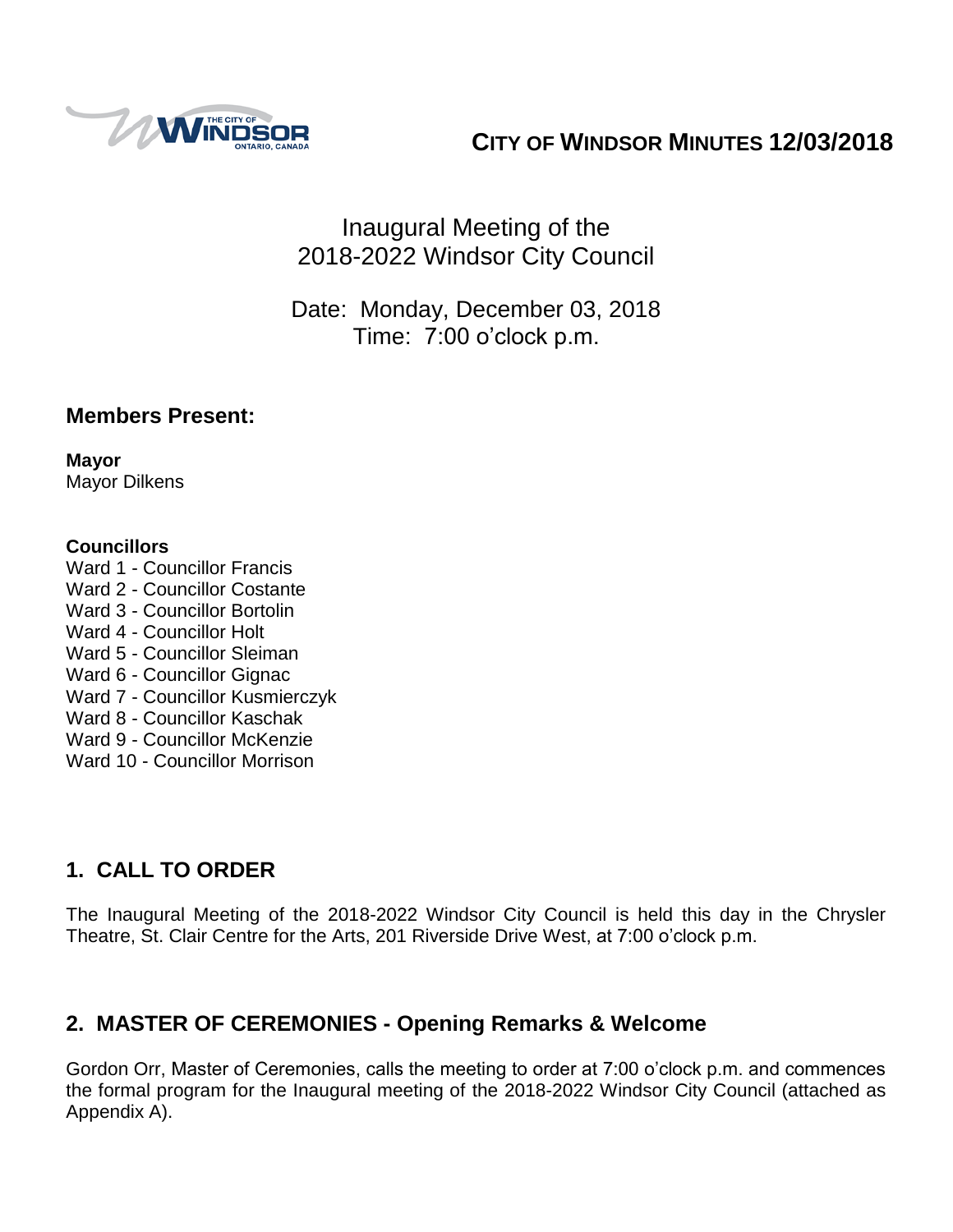

# **CITY OF WINDSOR MINUTES 12/03/2018**

# Inaugural Meeting of the 2018-2022 Windsor City Council

# Date: Monday, December 03, 2018 Time: 7:00 o'clock p.m.

#### **Members Present:**

**Mayor** Mayor Dilkens

#### **Councillors**

- Ward 1 Councillor Francis Ward 2 - Councillor Costante Ward 3 - Councillor Bortolin Ward 4 - Councillor Holt Ward 5 - Councillor Sleiman Ward 6 - Councillor Gignac Ward 7 - Councillor Kusmierczyk
- Ward 8 Councillor Kaschak
- Ward 9 Councillor McKenzie
- Ward 10 Councillor Morrison

# **1. CALL TO ORDER**

The Inaugural Meeting of the 2018-2022 Windsor City Council is held this day in the Chrysler Theatre, St. Clair Centre for the Arts, 201 Riverside Drive West, at 7:00 o'clock p.m.

# **2. MASTER OF CEREMONIES - Opening Remarks & Welcome**

Gordon Orr, Master of Ceremonies, calls the meeting to order at 7:00 o'clock p.m. and commences the formal program for the Inaugural meeting of the 2018-2022 Windsor City Council (attached as Appendix A).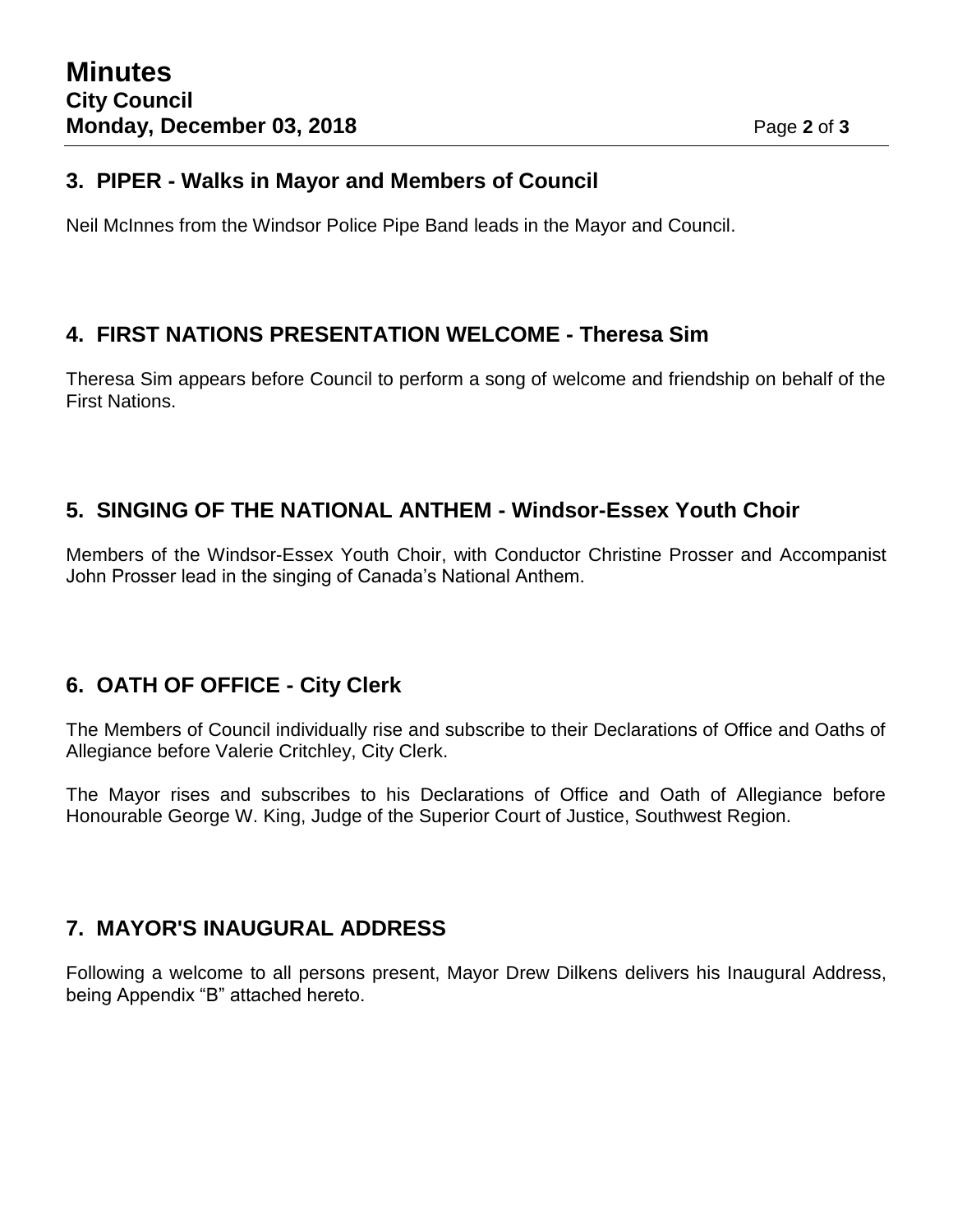#### **3. PIPER - Walks in Mayor and Members of Council**

Neil McInnes from the Windsor Police Pipe Band leads in the Mayor and Council.

### **4. FIRST NATIONS PRESENTATION WELCOME - Theresa Sim**

Theresa Sim appears before Council to perform a song of welcome and friendship on behalf of the First Nations.

# **5. SINGING OF THE NATIONAL ANTHEM - Windsor-Essex Youth Choir**

Members of the Windsor-Essex Youth Choir, with Conductor Christine Prosser and Accompanist John Prosser lead in the singing of Canada's National Anthem.

# **6. OATH OF OFFICE - City Clerk**

The Members of Council individually rise and subscribe to their Declarations of Office and Oaths of Allegiance before Valerie Critchley, City Clerk.

The Mayor rises and subscribes to his Declarations of Office and Oath of Allegiance before Honourable George W. King, Judge of the Superior Court of Justice, Southwest Region.

# **7. MAYOR'S INAUGURAL ADDRESS**

Following a welcome to all persons present, Mayor Drew Dilkens delivers his Inaugural Address, being Appendix "B" attached hereto.